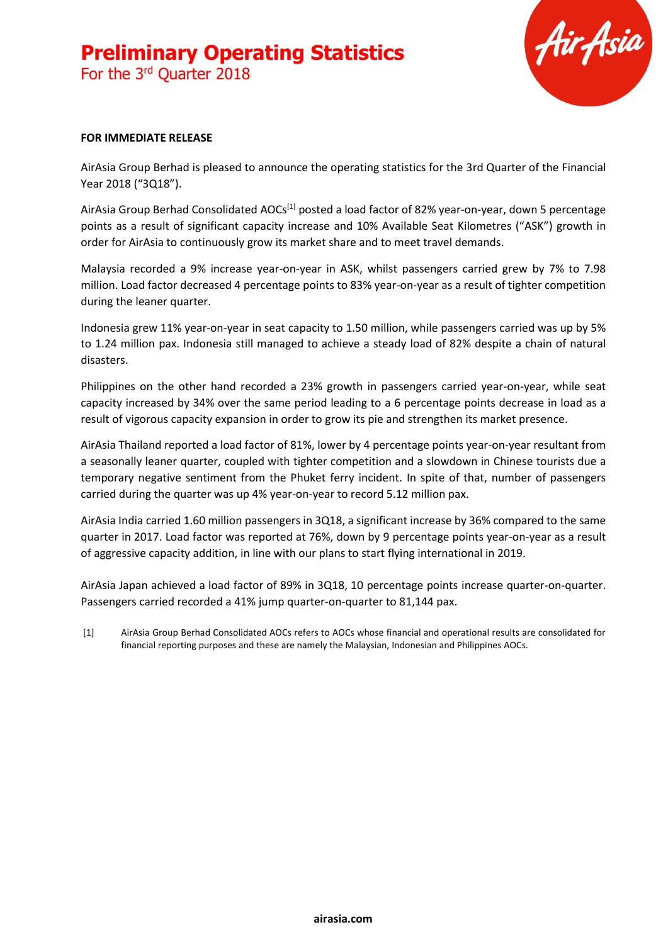For the 3rd Quarter 2018



#### **FOR IMMEDIATE RELEASE**

AirAsia Group Berhad is pleased to announce the operating statistics for the 3rd Quarter of the Financial Year 2018 ("3Q18").

AirAsia Group Berhad Consolidated AOCs<sup>[1]</sup> posted a load factor of 82% year-on-year, down 5 percentage points as a result of significant capacity increase and 10% Available Seat Kilometres ("ASK") growth in order for AirAsia to continuously grow its market share and to meet travel demands.

Malaysia recorded a 9% increase year-on-year in ASK, whilst passengers carried grew by 7% to 7.98 million. Load factor decreased 4 percentage points to 83% year-on-year as a result of tighter competition during the leaner quarter.

Indonesia grew 11% year-on-year in seat capacity to 1.50 million, while passengers carried was up by 5% to 1.24 million pax. Indonesia still managed to achieve a steady load of 82% despite a chain of natural disasters.

Philippines on the other hand recorded a 23% growth in passengers carried year-on-year, while seat capacity increased by 34% over the same period leading to a 6 percentage points decrease in load as a result of vigorous capacity expansion in order to grow its pie and strengthen its market presence.

AirAsia Thailand reported a load factor of 81%, lower by 4 percentage points year-on-year resultant from a seasonally leaner quarter, coupled with tighter competition and a slowdown in Chinese tourists due a temporary negative sentiment from the Phuket ferry incident. In spite of that, number of passengers carried during the quarter was up 4% year-on-year to record 5.12 million pax.

AirAsia India carried 1.60 million passengers in 3Q18, a significant increase by 36% compared to the same quarter in 2017. Load factor was reported at 76%, down by 9 percentage points year-on-year as a result of aggressive capacity addition, in line with our plans to start flying international in 2019.

AirAsia Japan achieved a load factor of 89% in 3Q18, 10 percentage points increase quarter-on-quarter. Passengers carried recorded a 41% jump quarter-on-quarter to 81,144 pax.

[1] AirAsia Group Berhad Consolidated AOCs refers to AOCs whose financial and operational results are consolidated for financial reporting purposes and these are namely the Malaysian, Indonesian and Philippines AOCs.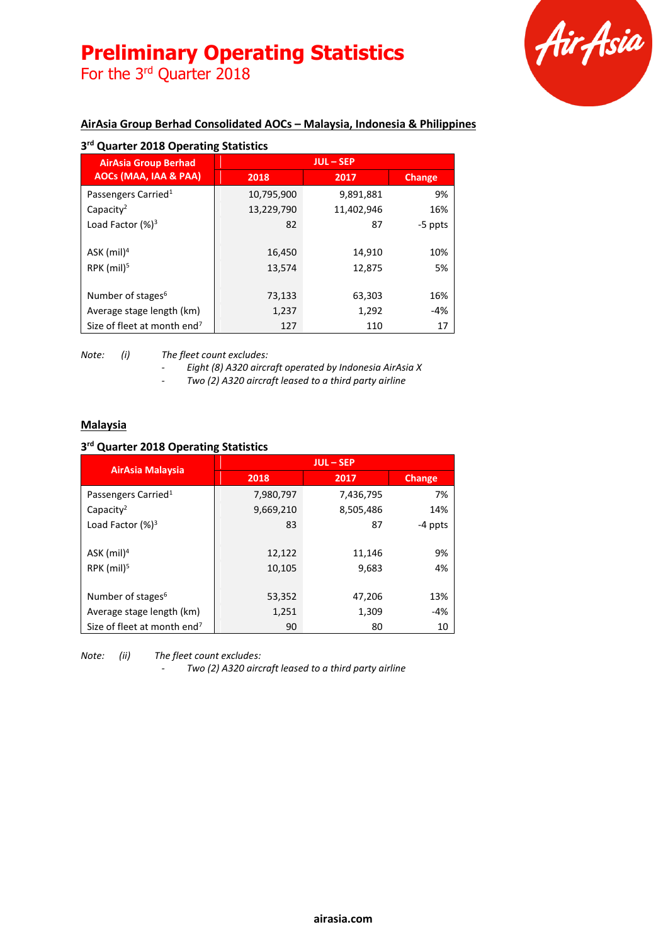For the 3<sup>rd</sup> Quarter 2018



### **AirAsia Group Berhad Consolidated AOCs – Malaysia, Indonesia & Philippines**

| <b>AirAsia Group Berhad</b><br>AOCs (MAA, IAA & PAA) | <b>JUL-SEP</b> |            |         |
|------------------------------------------------------|----------------|------------|---------|
|                                                      | 2018           | 2017       | Change  |
| Passengers Carried <sup>1</sup>                      | 10,795,900     | 9,891,881  | 9%      |
| Capacity <sup>2</sup>                                | 13,229,790     | 11,402,946 | 16%     |
| Load Factor $(%)^3$                                  | 82             | 87         | -5 ppts |
|                                                      |                |            |         |
| $ASK$ (mil) <sup>4</sup>                             | 16,450         | 14,910     | 10%     |
| $RPK$ (mil) <sup>5</sup>                             | 13,574         | 12,875     | 5%      |
|                                                      |                |            |         |
| Number of stages <sup>6</sup>                        | 73,133         | 63,303     | 16%     |
| Average stage length (km)                            | 1,237          | 1,292      | $-4%$   |
| Size of fleet at month end <sup>7</sup>              | 127            | 110        | 17      |

*Note: (i) The fleet count excludes:*

*- Eight (8) A320 aircraft operated by Indonesia AirAsia X*

*- Two (2) A320 aircraft leased to a third party airline*

#### **Malaysia**

#### **3 rd Quarter 2018 Operating Statistics**

| <b>AirAsia Malaysia</b>                 | <b>JUL-SEP</b> |           |               |
|-----------------------------------------|----------------|-----------|---------------|
|                                         | 2018           | 2017      | <b>Change</b> |
| Passengers Carried <sup>1</sup>         | 7,980,797      | 7,436,795 | 7%            |
| Capacity <sup>2</sup>                   | 9,669,210      | 8,505,486 | 14%           |
| Load Factor $(%)^3$                     | 83             | 87        | -4 ppts       |
|                                         |                |           |               |
| $ASK$ (mil) <sup>4</sup>                | 12,122         | 11,146    | 9%            |
| $RPK$ (mil) <sup>5</sup>                | 10,105         | 9,683     | 4%            |
|                                         |                |           |               |
| Number of stages <sup>6</sup>           | 53,352         | 47,206    | 13%           |
| Average stage length (km)               | 1,251          | 1,309     | $-4%$         |
| Size of fleet at month end <sup>7</sup> | 90             | 80        | 10            |

*Note: (ii) The fleet count excludes:*

*- Two (2) A320 aircraft leased to a third party airline*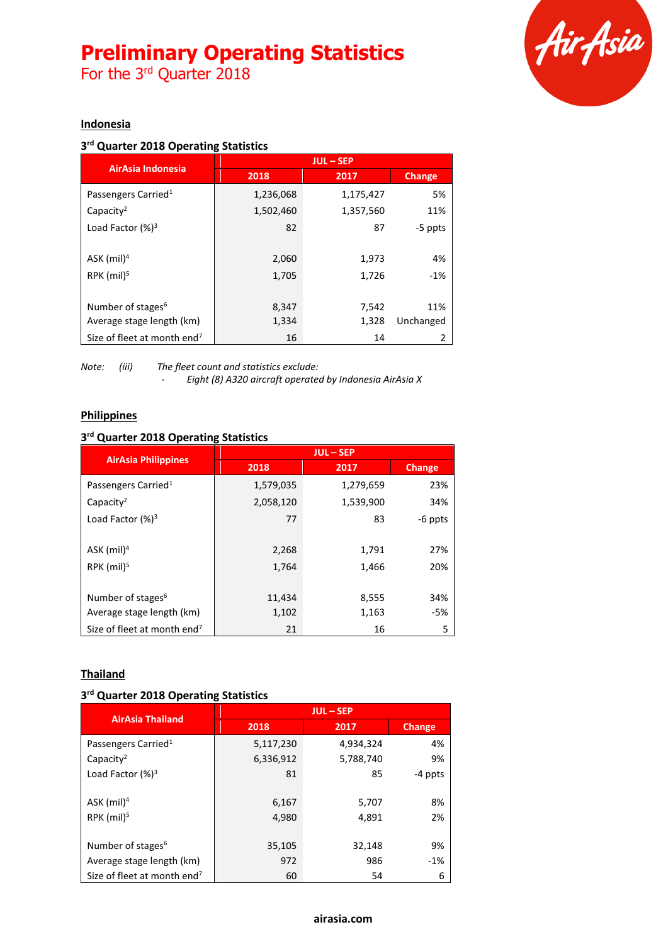For the 3<sup>rd</sup> Quarter 2018



#### **Indonesia**

#### **3 rd Quarter 2018 Operating Statistics**

| AirAsia Indonesia                       | <b>JUL-SEP</b> |           |               |
|-----------------------------------------|----------------|-----------|---------------|
|                                         | 2018           | 2017      | <b>Change</b> |
| Passengers Carried <sup>1</sup>         | 1,236,068      | 1,175,427 | 5%            |
| Capacity <sup>2</sup>                   | 1,502,460      | 1,357,560 | 11%           |
| Load Factor $(%)^3$                     | 82             | 87        | -5 ppts       |
|                                         |                |           |               |
| $ASK$ (mil) <sup>4</sup>                | 2,060          | 1,973     | 4%            |
| RPK $(mil)5$                            | 1,705          | 1,726     | $-1%$         |
|                                         |                |           |               |
| Number of stages <sup>6</sup>           | 8,347          | 7,542     | 11%           |
| Average stage length (km)               | 1,334          | 1,328     | Unchanged     |
| Size of fleet at month end <sup>7</sup> | 16             | 14        |               |

*Note: (iii) The fleet count and statistics exclude: - Eight (8) A320 aircraft operated by Indonesia AirAsia X*

#### **Philippines**

#### **3 rd Quarter 2018 Operating Statistics**

| <b>AirAsia Philippines</b>              | <b>JUL-SEP</b> |           |               |
|-----------------------------------------|----------------|-----------|---------------|
|                                         | 2018           | 2017      | <b>Change</b> |
| Passengers Carried <sup>1</sup>         | 1,579,035      | 1,279,659 | 23%           |
| Capacity <sup>2</sup>                   | 2,058,120      | 1,539,900 | 34%           |
| Load Factor $(%)^3$                     | 77             | 83        | -6 ppts       |
|                                         |                |           |               |
| ASK $(mil)^4$                           | 2,268          | 1,791     | 27%           |
| RPK $(mil)^5$                           | 1,764          | 1,466     | 20%           |
|                                         |                |           |               |
| Number of stages <sup>6</sup>           | 11,434         | 8,555     | 34%           |
| Average stage length (km)               | 1,102          | 1,163     | -5%           |
| Size of fleet at month end <sup>7</sup> | 21             | 16        | 5             |

#### **Thailand**

#### **3 rd Quarter 2018 Operating Statistics**

| <b>AirAsia Thailand</b>                 | <b>JUL-SEP</b> |           |               |
|-----------------------------------------|----------------|-----------|---------------|
|                                         | 2018           | 2017      | <b>Change</b> |
| Passengers Carried <sup>1</sup>         | 5,117,230      | 4,934,324 | 4%            |
| Capacity <sup>2</sup>                   | 6,336,912      | 5,788,740 | 9%            |
| Load Factor (%) <sup>3</sup>            | 81             | 85        | -4 ppts       |
|                                         |                |           |               |
| ASK $(mil)^4$                           | 6,167          | 5,707     | 8%            |
| RPK $(mil)5$                            | 4,980          | 4,891     | 2%            |
|                                         |                |           |               |
| Number of stages <sup>6</sup>           | 35,105         | 32,148    | 9%            |
| Average stage length (km)               | 972            | 986       | $-1%$         |
| Size of fleet at month end <sup>7</sup> | 60             | 54        | 6             |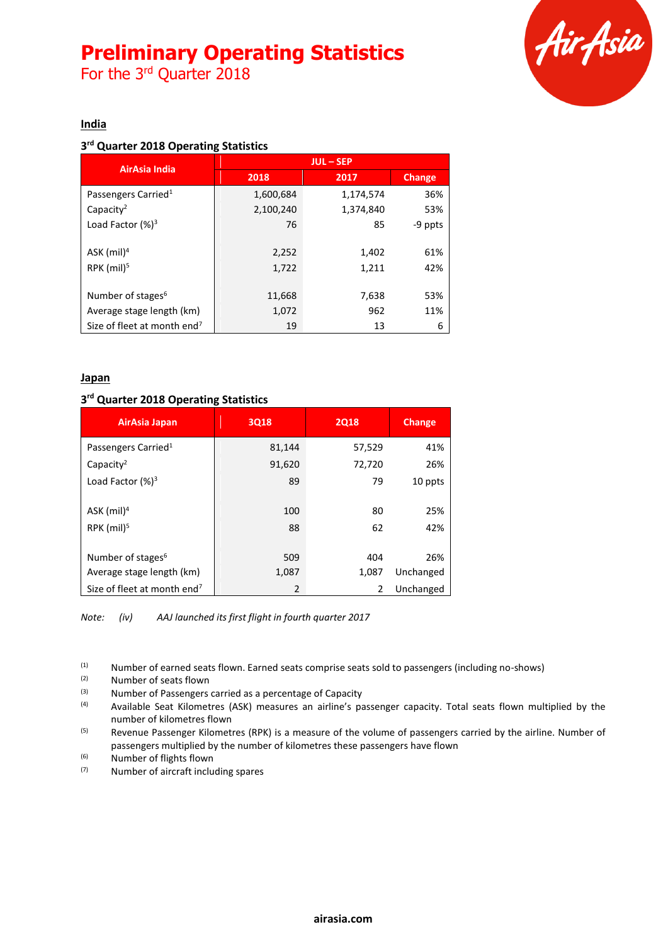For the 3<sup>rd</sup> Quarter 2018



#### **India**

#### **3 rd Quarter 2018 Operating Statistics**

| AirAsia India                           | <b>JUL-SEP</b> |           |         |
|-----------------------------------------|----------------|-----------|---------|
|                                         | 2018           | 2017      | Change  |
| Passengers Carried <sup>1</sup>         | 1,600,684      | 1,174,574 | 36%     |
| Capacity <sup>2</sup>                   | 2,100,240      | 1,374,840 | 53%     |
| Load Factor $(%)^3$                     | 76             | 85        | -9 ppts |
|                                         |                |           |         |
| ASK $(mil)^4$                           | 2,252          | 1,402     | 61%     |
| RPK $(mil)^5$                           | 1,722          | 1,211     | 42%     |
|                                         |                |           |         |
| Number of stages <sup>6</sup>           | 11,668         | 7,638     | 53%     |
| Average stage length (km)               | 1,072          | 962       | 11%     |
| Size of fleet at month end <sup>7</sup> | 19             | 13        | 6       |

#### **Japan**

#### **3 rd Quarter 2018 Operating Statistics**

| AirAsia Japan                           | <b>3Q18</b> | <b>2Q18</b> | Change    |
|-----------------------------------------|-------------|-------------|-----------|
| Passengers Carried <sup>1</sup>         | 81,144      | 57,529      | 41%       |
| Capacity <sup>2</sup>                   | 91,620      | 72,720      | 26%       |
| Load Factor $(%)^3$                     | 89          | 79          | 10 ppts   |
|                                         |             |             |           |
| ASK $(mil)^4$                           | 100         | 80          | 25%       |
| RPK $(mil)5$                            | 88          | 62          | 42%       |
|                                         |             |             |           |
| Number of stages <sup>6</sup>           | 509         | 404         | 26%       |
| Average stage length (km)               | 1,087       | 1,087       | Unchanged |
| Size of fleet at month end <sup>7</sup> | 2           | 2           | Unchanged |

*Note: (iv) AAJ launched its first flight in fourth quarter 2017*

(1) Number of earned seats flown. Earned seats comprise seats sold to passengers (including no-shows)  $(2)$  Number of seats flown

 $(2)$  Number of seats flown<br> $(3)$  Number of Passengers

(3)  $\mu$  Number of Passengers carried as a percentage of Capacity<br>(4)  $\mu$  Available Seat Kilometres (ASK) measures an airline's pa

Available Seat Kilometres (ASK) measures an airline's passenger capacity. Total seats flown multiplied by the number of kilometres flown

<sup>(5)</sup> Revenue Passenger Kilometres (RPK) is a measure of the volume of passengers carried by the airline. Number of passengers multiplied by the number of kilometres these passengers have flown

(6) Number of flights flown

(7) Number of aircraft including spares